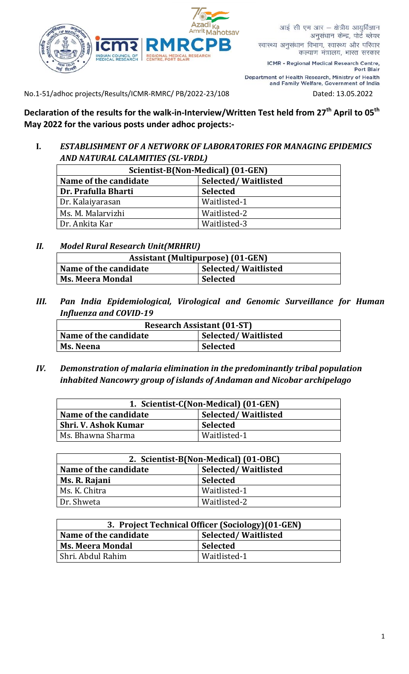

**Port Blair** Department of Health Research, Ministry of Health and Family Welfare, Government of India

No.1-51/adhoc projects/Results/ICMR-RMRC/ PB/2022-23/108 Dated: 13.05.2022

**Declaration of the results for the walk-in-Interview/Written Test held from 27th April to 05th May 2022 for the various posts under adhoc projects:-**

## **I.** *ESTABLISHMENT OF A NETWORK OF LABORATORIES FOR MANAGING EPIDEMICS AND NATURAL CALAMITIES (SL-VRDL)*

| Scientist-B(Non-Medical) (01-GEN) |                            |
|-----------------------------------|----------------------------|
| Name of the candidate             | <b>Selected/Waitlisted</b> |
| Dr. Prafulla Bharti               | <b>Selected</b>            |
| Dr. Kalaiyarasan                  | Waitlisted-1               |
| Ms. M. Malarvizhi                 | Waitlisted-2               |
| Dr. Ankita Kar                    | Waitlisted-3               |
|                                   |                            |

*II. Model Rural Research Unit(MRHRU)*

| <b>Assistant (Multipurpose) (01-GEN)</b> |                            |
|------------------------------------------|----------------------------|
| 'Name of the candidate                   | <b>Selected/Waitlisted</b> |
| Ms. Meera Mondal                         | <b>Selected</b>            |

**III.** Pan India Epidemiological, Virological and Genomic Surveillance for Human *Influenza and COVID-19*

| <b>Research Assistant (01-ST)</b> |                     |
|-----------------------------------|---------------------|
| Name of the candidate             | Selected/Waitlisted |
| Ms. Neena                         | <b>Selected</b>     |

*IV. Demonstration of malaria elimination in the predominantly tribal population inhabited Nancowry group of islands of Andaman and Nicobar archipelago*

| 1. Scientist-C(Non-Medical) (01-GEN) |                      |
|--------------------------------------|----------------------|
| Name of the candidate                | 'Selected/Waitlisted |
| Shri. V. Ashok Kumar                 | <b>Selected</b>      |
| Ms. Bhawna Sharma                    | Waitlisted-1         |

| 2. Scientist-B(Non-Medical) (01-OBC) |                            |
|--------------------------------------|----------------------------|
| Name of the candidate                | <b>Selected/Waitlisted</b> |
| Ms. R. Rajani                        | <b>Selected</b>            |
| Ms. K. Chitra                        | Waitlisted-1               |
| Dr. Shweta                           | Waitlisted-2               |

| 3. Project Technical Officer (Sociology) (01-GEN) |                            |
|---------------------------------------------------|----------------------------|
| Name of the candidate                             | <b>Selected/Waitlisted</b> |
| <b>Ms. Meera Mondal</b>                           | <b>Selected</b>            |
| Shri. Abdul Rahim                                 | Waitlisted-1               |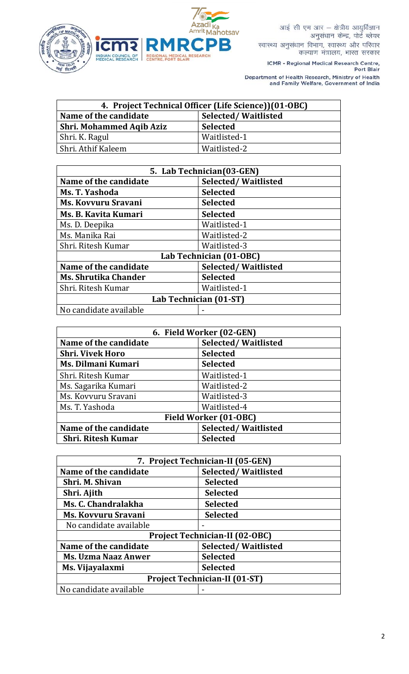

आई सी एम आर – क्षेत्रीय आयुर्विज्ञान<br>अनुसंधान केन्द्र, पोर्ट ब्लेयर स्वास्थ्य अनुसंधान विभाग, स्वास्थ्य और परिवार<br>कल्याण मंत्रालय, भारत सरकार

ICMR - Regional Medical Research Centre,<br>Port Blair Department of Health Research, Ministry of Health<br>and Family Welfare, Government of India

| 4. Project Technical Officer (Life Science))(01-OBC) |                            |
|------------------------------------------------------|----------------------------|
| Name of the candidate                                | <b>Selected/Waitlisted</b> |
| <b>Shri. Mohammed Aqib Aziz</b>                      | <b>Selected</b>            |
| Shri. K. Ragul                                       | Waitlisted-1               |
| Shri. Athif Kaleem                                   | Waitlisted-2               |

| 5. Lab Technician (03-GEN)  |                            |
|-----------------------------|----------------------------|
| Name of the candidate       | <b>Selected/Waitlisted</b> |
| Ms. T. Yashoda              | <b>Selected</b>            |
| <b>Ms. Kovvuru Sravani</b>  | <b>Selected</b>            |
| Ms. B. Kavita Kumari        | <b>Selected</b>            |
| Ms. D. Deepika              | Waitlisted-1               |
| Ms. Manika Rai              | Waitlisted-2               |
| Shri. Ritesh Kumar          | Waitlisted-3               |
| Lab Technician (01-OBC)     |                            |
| Name of the candidate       | <b>Selected/Waitlisted</b> |
| <b>Ms. Shrutika Chander</b> | <b>Selected</b>            |
| Shri. Ritesh Kumar          | Waitlisted-1               |
| Lab Technician (01-ST)      |                            |
| No candidate available      |                            |

| 6. Field Worker (02-GEN)  |                            |
|---------------------------|----------------------------|
| Name of the candidate     | Selected/Waitlisted        |
| <b>Shri. Vivek Horo</b>   | <b>Selected</b>            |
| Ms. Dilmani Kumari        | <b>Selected</b>            |
| Shri. Ritesh Kumar        | Waitlisted-1               |
| Ms. Sagarika Kumari       | Waitlisted-2               |
| Ms. Kovvuru Sravani       | Waitlisted-3               |
| Ms. T. Yashoda            | Waitlisted-4               |
| Field Worker (01-OBC)     |                            |
| Name of the candidate     | <b>Selected/Waitlisted</b> |
| <b>Shri. Ritesh Kumar</b> | <b>Selected</b>            |

| 7. Project Technician-II (05-GEN)     |                            |
|---------------------------------------|----------------------------|
| Name of the candidate                 | <b>Selected/Waitlisted</b> |
| Shri. M. Shivan                       | <b>Selected</b>            |
| Shri. Ajith                           | <b>Selected</b>            |
| Ms. C. Chandralakha                   | <b>Selected</b>            |
| <b>Ms. Kovvuru Sravani</b>            | <b>Selected</b>            |
| No candidate available                |                            |
| <b>Project Technician-II (02-OBC)</b> |                            |
| Name of the candidate                 | Selected/Waitlisted        |
| <b>Ms. Uzma Naaz Anwer</b>            | <b>Selected</b>            |
| Ms. Vijayalaxmi                       | <b>Selected</b>            |
| <b>Project Technician-II (01-ST)</b>  |                            |
| No candidate available                |                            |